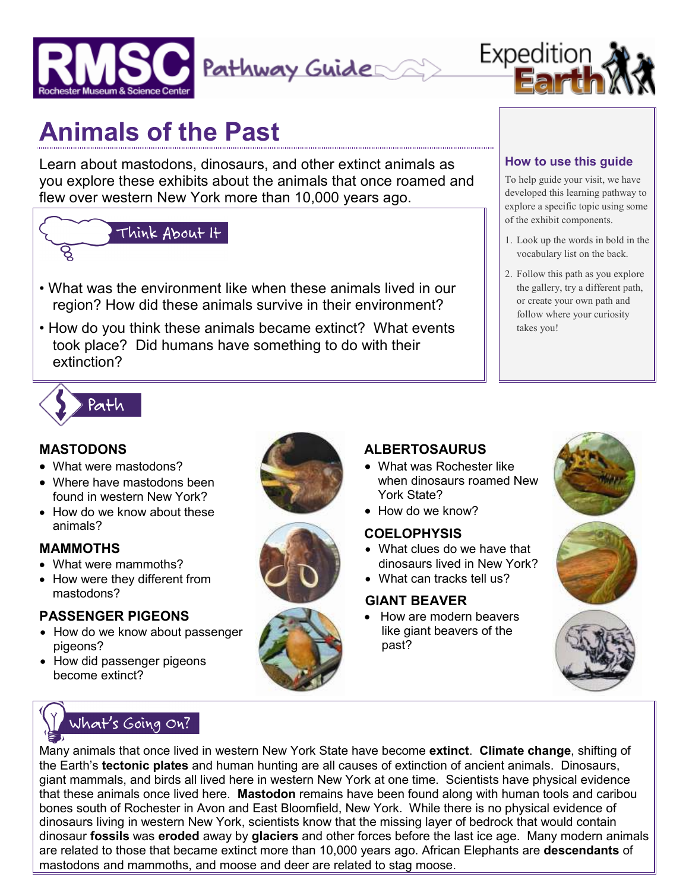



## **Animals of the Past**

Learn about mastodons, dinosaurs, and other extinct animals as you explore these exhibits about the animals that once roamed and flew over western New York more than 10,000 years ago.

# Think About It

- What was the environment like when these animals lived in our region? How did these animals survive in their environment?
- How do you think these animals became extinct? What events took place? Did humans have something to do with their extinction?

#### **How to use this guide**

To help guide your visit, we have developed this learning pathway to explore a specific topic using some of the exhibit components.

- 1. Look up the words in bold in the vocabulary list on the back.
- 2. Follow this path as you explore the gallery, try a different path, or create your own path and follow where your curiosity takes you!



#### **MASTODONS**

- What were mastodons?
- Where have mastodons been found in western New York?
- How do we know about these animals?

#### **MAMMOTHS**

- What were mammoths?
- How were they different from mastodons?

#### **PASSENGER PIGEONS**

- How do we know about passenger pigeons?
- How did passenger pigeons become extinct?





#### **ALBERTOSAURUS**

- What was Rochester like when dinosaurs roamed New York State?
- How do we know?

#### **COELOPHYSIS**

- What clues do we have that dinosaurs lived in New York?
- What can tracks tell us?

#### **GIANT BEAVER**

• How are modern beavers like giant beavers of the past?







### What's Going On?

Many animals that once lived in western New York State have become **extinct**. **Climate change**, shifting of the Earth's **tectonic plates** and human hunting are all causes of extinction of ancient animals. Dinosaurs, giant mammals, and birds all lived here in western New York at one time. Scientists have physical evidence that these animals once lived here. **Mastodon** remains have been found along with human tools and caribou bones south of Rochester in Avon and East Bloomfield, New York. While there is no physical evidence of dinosaurs living in western New York, scientists know that the missing layer of bedrock that would contain dinosaur **fossils** was **eroded** away by **glaciers** and other forces before the last ice age. Many modern animals are related to those that became extinct more than 10,000 years ago. African Elephants are **descendants** of mastodons and mammoths, and moose and deer are related to stag moose.